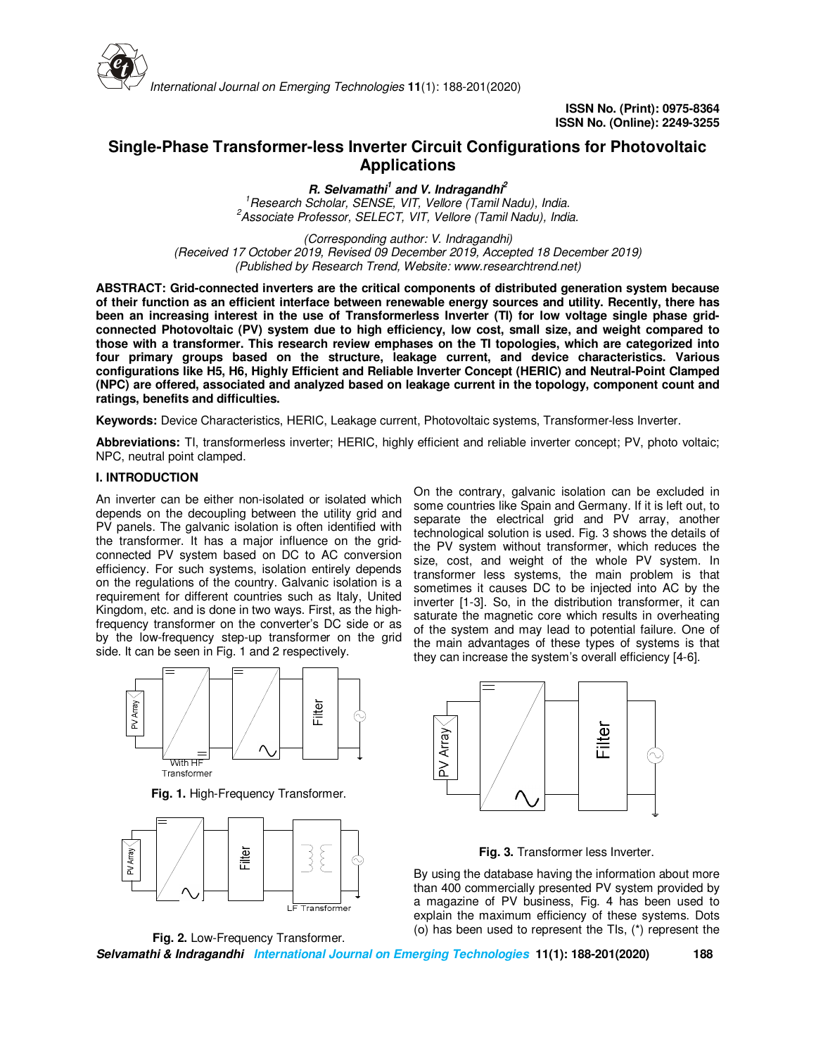

# **Single-Phase Transformer-less Inverter Circuit Configurations for Photovoltaic Applications**

**R. Selvamathi<sup>1</sup> and V. Indragandhi<sup>2</sup>** *<sup>1</sup>Research Scholar, SENSE, VIT, Vellore (Tamil Nadu), India. <sup>2</sup>Associate Professor, SELECT, VIT, Vellore (Tamil Nadu), India.*

*(Corresponding author: V. Indragandhi) (Received 17 October 2019, Revised 09 December 2019, Accepted 18 December 2019) (Published by Research Trend, Website: www.researchtrend.net)*

**ABSTRACT: Grid-connected inverters are the critical components of distributed generation system because of their function as an efficient interface between renewable energy sources and utility. Recently, there has been an increasing interest in the use of Transformerless Inverter (TI) for low voltage single phase gridconnected Photovoltaic (PV) system due to high efficiency, low cost, small size, and weight compared to those with a transformer. This research review emphases on the TI topologies, which are categorized into four primary groups based on the structure, leakage current, and device characteristics. Various configurations like H5, H6, Highly Efficient and Reliable Inverter Concept (HERIC) and Neutral-Point Clamped (NPC) are offered, associated and analyzed based on leakage current in the topology, component count and ratings, benefits and difficulties.** 

**Keywords:** Device Characteristics, HERIC, Leakage current, Photovoltaic systems, Transformer-less Inverter.

**Abbreviations:** TI, transformerless inverter; HERIC, highly efficient and reliable inverter concept; PV, photo voltaic; NPC, neutral point clamped.

# **I. INTRODUCTION**

An inverter can be either non-isolated or isolated which depends on the decoupling between the utility grid and PV panels. The galvanic isolation is often identified with the transformer. It has a major influence on the gridconnected PV system based on DC to AC conversion efficiency. For such systems, isolation entirely depends on the regulations of the country. Galvanic isolation is a requirement for different countries such as Italy, United Kingdom, etc. and is done in two ways. First, as the highfrequency transformer on the converter's DC side or as by the low-frequency step-up transformer on the grid side. It can be seen in Fig. 1 and 2 respectively.



**Fig. 1.** High-Frequency Transformer.



**Fig. 2.** Low-Frequency Transformer.

On the contrary, galvanic isolation can be excluded in some countries like Spain and Germany. If it is left out, to separate the electrical grid and PV array, another technological solution is used. Fig. 3 shows the details of the PV system without transformer, which reduces the size, cost, and weight of the whole PV system. In transformer less systems, the main problem is that sometimes it causes DC to be injected into AC by the inverter [1-3]. So, in the distribution transformer, it can saturate the magnetic core which results in overheating of the system and may lead to potential failure. One of the main advantages of these types of systems is that they can increase the system's overall efficiency [4-6].



**Fig. 3.** Transformer less Inverter.

By using the database having the information about more than 400 commercially presented PV system provided by a magazine of PV business, Fig. 4 has been used to explain the maximum efficiency of these systems. Dots (ο) has been used to represent the TIs, (\*) represent the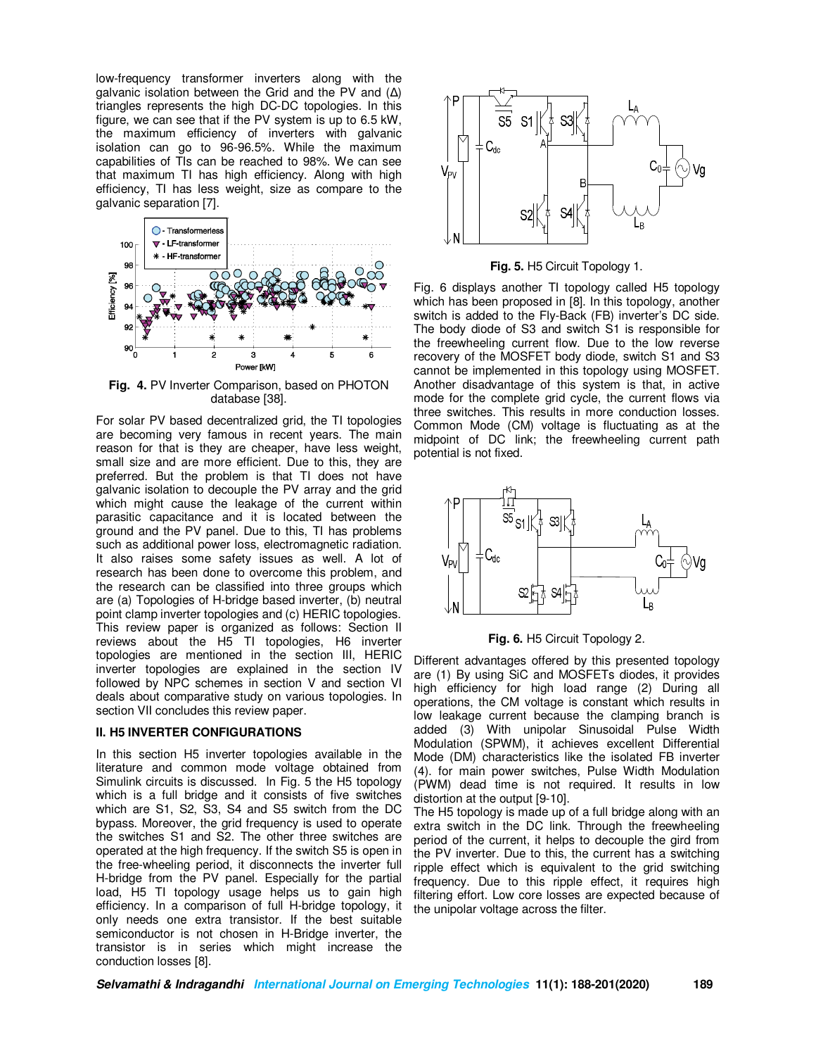low-frequency transformer inverters along with the galvanic isolation between the Grid and the PV and (∆) triangles represents the high DC-DC topologies. In this figure, we can see that if the PV system is up to 6.5 kW, the maximum efficiency of inverters with galvanic isolation can go to 96-96.5%. While the maximum capabilities of TIs can be reached to 98%. We can see that maximum TI has high efficiency. Along with high efficiency, TI has less weight, size as compare to the galvanic separation [7].



**Fig. 4.** PV Inverter Comparison, based on PHOTON database [38].

For solar PV based decentralized grid, the TI topologies are becoming very famous in recent years. The main reason for that is they are cheaper, have less weight, small size and are more efficient. Due to this, they are preferred. But the problem is that TI does not have galvanic isolation to decouple the PV array and the grid which might cause the leakage of the current within parasitic capacitance and it is located between the ground and the PV panel. Due to this, TI has problems such as additional power loss, electromagnetic radiation. It also raises some safety issues as well. A lot of research has been done to overcome this problem, and the research can be classified into three groups which are (a) Topologies of H-bridge based inverter, (b) neutral point clamp inverter topologies and (c) HERIC topologies. This review paper is organized as follows: Section II reviews about the H5 TI topologies, H6 inverter topologies are mentioned in the section III, HERIC inverter topologies are explained in the section IV followed by NPC schemes in section V and section VI deals about comparative study on various topologies. In section VII concludes this review paper.

# **II. H5 INVERTER CONFIGURATIONS**

In this section H5 inverter topologies available in the literature and common mode voltage obtained from Simulink circuits is discussed. In Fig. 5 the H5 topology which is a full bridge and it consists of five switches which are S1, S2, S3, S4 and S5 switch from the DC bypass. Moreover, the grid frequency is used to operate the switches S1 and S2. The other three switches are operated at the high frequency. If the switch S5 is open in the free-wheeling period, it disconnects the inverter full H-bridge from the PV panel. Especially for the partial load, H5 TI topology usage helps us to gain high efficiency. In a comparison of full H-bridge topology, it only needs one extra transistor. If the best suitable semiconductor is not chosen in H-Bridge inverter, the transistor is in series which might increase the conduction losses [8].



**Fig. 5.** H5 Circuit Topology 1.

Fig. 6 displays another TI topology called H5 topology which has been proposed in [8]. In this topology, another switch is added to the Fly-Back (FB) inverter's DC side. The body diode of S3 and switch S1 is responsible for the freewheeling current flow. Due to the low reverse recovery of the MOSFET body diode, switch S1 and S3 cannot be implemented in this topology using MOSFET. Another disadvantage of this system is that, in active mode for the complete grid cycle, the current flows via three switches. This results in more conduction losses. Common Mode (CM) voltage is fluctuating as at the midpoint of DC link; the freewheeling current path potential is not fixed.





Different advantages offered by this presented topology are (1) By using SiC and MOSFETs diodes, it provides high efficiency for high load range (2) During all operations, the CM voltage is constant which results in low leakage current because the clamping branch is added (3) With unipolar Sinusoidal Pulse Width Modulation (SPWM), it achieves excellent Differential Mode (DM) characteristics like the isolated FB inverter (4). for main power switches, Pulse Width Modulation (PWM) dead time is not required. It results in low distortion at the output [9-10].

The H5 topology is made up of a full bridge along with an extra switch in the DC link. Through the freewheeling period of the current, it helps to decouple the gird from the PV inverter. Due to this, the current has a switching ripple effect which is equivalent to the grid switching frequency. Due to this ripple effect, it requires high filtering effort. Low core losses are expected because of the unipolar voltage across the filter.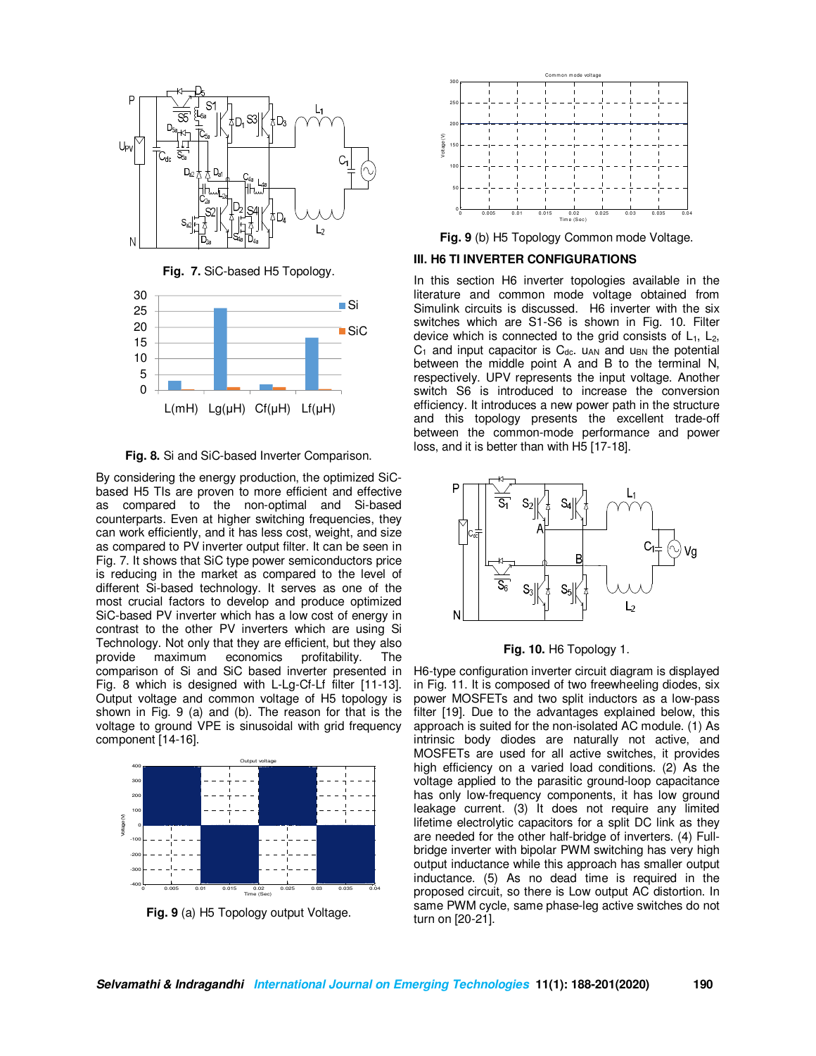

**Fig. 7.** SiC-based H5 Topology.



**Fig. 8.** Si and SiC-based Inverter Comparison.

By considering the energy production, the optimized SiCbased H5 TIs are proven to more efficient and effective as compared to the non-optimal and Si-based counterparts. Even at higher switching frequencies, they can work efficiently, and it has less cost, weight, and size as compared to PV inverter output filter. It can be seen in Fig. 7. It shows that SiC type power semiconductors price is reducing in the market as compared to the level of different Si-based technology. It serves as one of the most crucial factors to develop and produce optimized SiC-based PV inverter which has a low cost of energy in contrast to the other PV inverters which are using Si Technology. Not only that they are efficient, but they also provide maximum economics profitability. The comparison of Si and SiC based inverter presented in Fig. 8 which is designed with L-Lg-Cf-Lf filter [11-13]. Output voltage and common voltage of H5 topology is shown in Fig. 9 (a) and (b). The reason for that is the voltage to ground VPE is sinusoidal with grid frequency component [14-16].



**Fig. 9** (a) H5 Topology output Voltage.



**Fig. 9** (b) H5 Topology Common mode Voltage.

## **III. H6 TI INVERTER CONFIGURATIONS**

In this section H6 inverter topologies available in the literature and common mode voltage obtained from Simulink circuits is discussed. H6 inverter with the six switches which are S1-S6 is shown in Fig. 10. Filter device which is connected to the grid consists of  $L_1$ ,  $L_2$ ,  $C_1$  and input capacitor is  $C_{dc}$ .  $u_{AN}$  and  $u_{BN}$  the potential between the middle point A and B to the terminal N, respectively. UPV represents the input voltage. Another switch S6 is introduced to increase the conversion efficiency. It introduces a new power path in the structure and this topology presents the excellent trade-off between the common-mode performance and power loss, and it is better than with H5 [17-18].



#### **Fig. 10.** H6 Topology 1.

H6-type configuration inverter circuit diagram is displayed in Fig. 11. It is composed of two freewheeling diodes, six power MOSFETs and two split inductors as a low-pass filter [19]. Due to the advantages explained below, this approach is suited for the non-isolated AC module. (1) As intrinsic body diodes are naturally not active, and MOSFETs are used for all active switches, it provides high efficiency on a varied load conditions. (2) As the voltage applied to the parasitic ground-loop capacitance has only low-frequency components, it has low ground leakage current. (3) It does not require any limited lifetime electrolytic capacitors for a split DC link as they are needed for the other half-bridge of inverters. (4) Fullbridge inverter with bipolar PWM switching has very high output inductance while this approach has smaller output inductance. (5) As no dead time is required in the proposed circuit, so there is Low output AC distortion. In same PWM cycle, same phase-leg active switches do not turn on [20-21].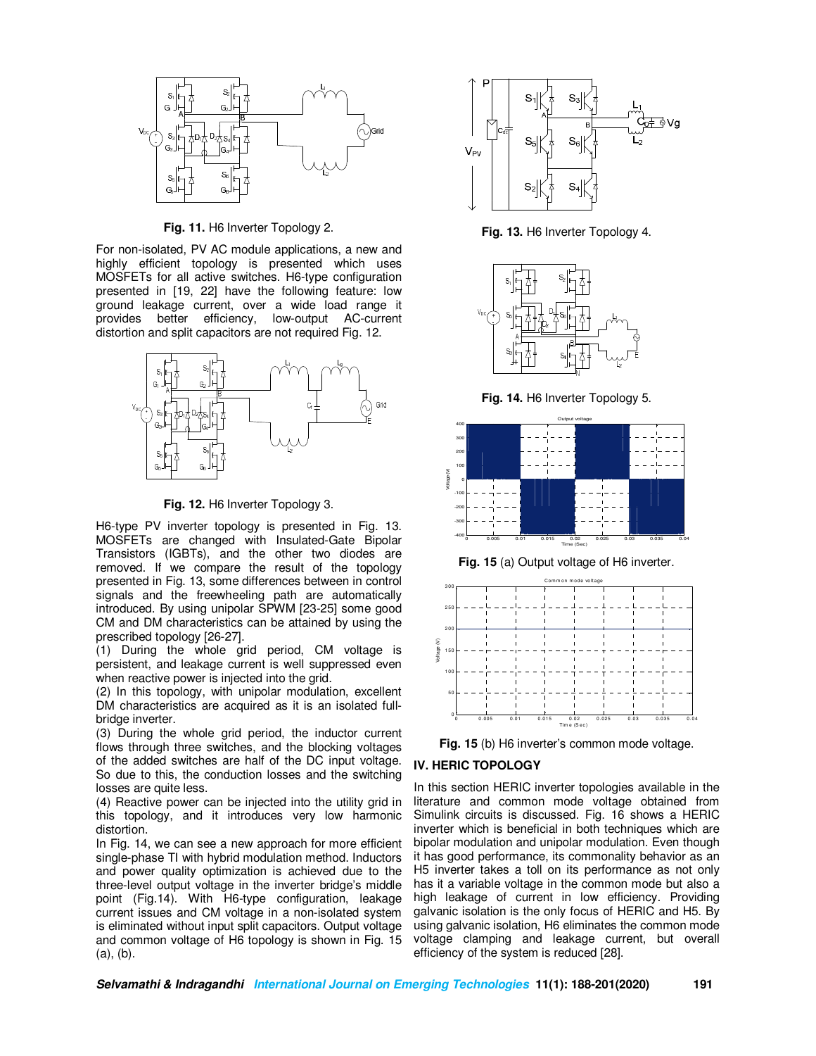

**Fig. 11.** H6 Inverter Topology 2.

For non-isolated, PV AC module applications, a new and highly efficient topology is presented which uses MOSFETs for all active switches. H6-type configuration presented in [19, 22] have the following feature: low ground leakage current, over a wide load range it provides better efficiency, low-output AC-current distortion and split capacitors are not required Fig. 12.



**Fig. 12.** H6 Inverter Topology 3.

H6-type PV inverter topology is presented in Fig. 13. MOSFETs are changed with Insulated-Gate Bipolar Transistors (IGBTs), and the other two diodes are removed. If we compare the result of the topology presented in Fig. 13, some differences between in control signals and the freewheeling path are automatically introduced. By using unipolar SPWM [23-25] some good CM and DM characteristics can be attained by using the prescribed topology [26-27].

(1) During the whole grid period, CM voltage is persistent, and leakage current is well suppressed even when reactive power is injected into the grid.

(2) In this topology, with unipolar modulation, excellent DM characteristics are acquired as it is an isolated fullbridge inverter.

(3) During the whole grid period, the inductor current flows through three switches, and the blocking voltages of the added switches are half of the DC input voltage. So due to this, the conduction losses and the switching losses are quite less.

(4) Reactive power can be injected into the utility grid in this topology, and it introduces very low harmonic distortion.

In Fig. 14, we can see a new approach for more efficient single-phase TI with hybrid modulation method. Inductors and power quality optimization is achieved due to the three-level output voltage in the inverter bridge's middle point (Fig.14). With H6-type configuration, leakage current issues and CM voltage in a non-isolated system is eliminated without input split capacitors. Output voltage and common voltage of H6 topology is shown in Fig. 15 (a), (b).



**Fig. 13.** H6 Inverter Topology 4.



**Fig. 14.** H6 Inverter Topology 5.









# **IV. HERIC TOPOLOGY**

In this section HERIC inverter topologies available in the literature and common mode voltage obtained from Simulink circuits is discussed. Fig. 16 shows a HERIC inverter which is beneficial in both techniques which are bipolar modulation and unipolar modulation. Even though it has good performance, its commonality behavior as an H5 inverter takes a toll on its performance as not only has it a variable voltage in the common mode but also a high leakage of current in low efficiency. Providing galvanic isolation is the only focus of HERIC and H5. By using galvanic isolation, H6 eliminates the common mode voltage clamping and leakage current, but overall efficiency of the system is reduced [28].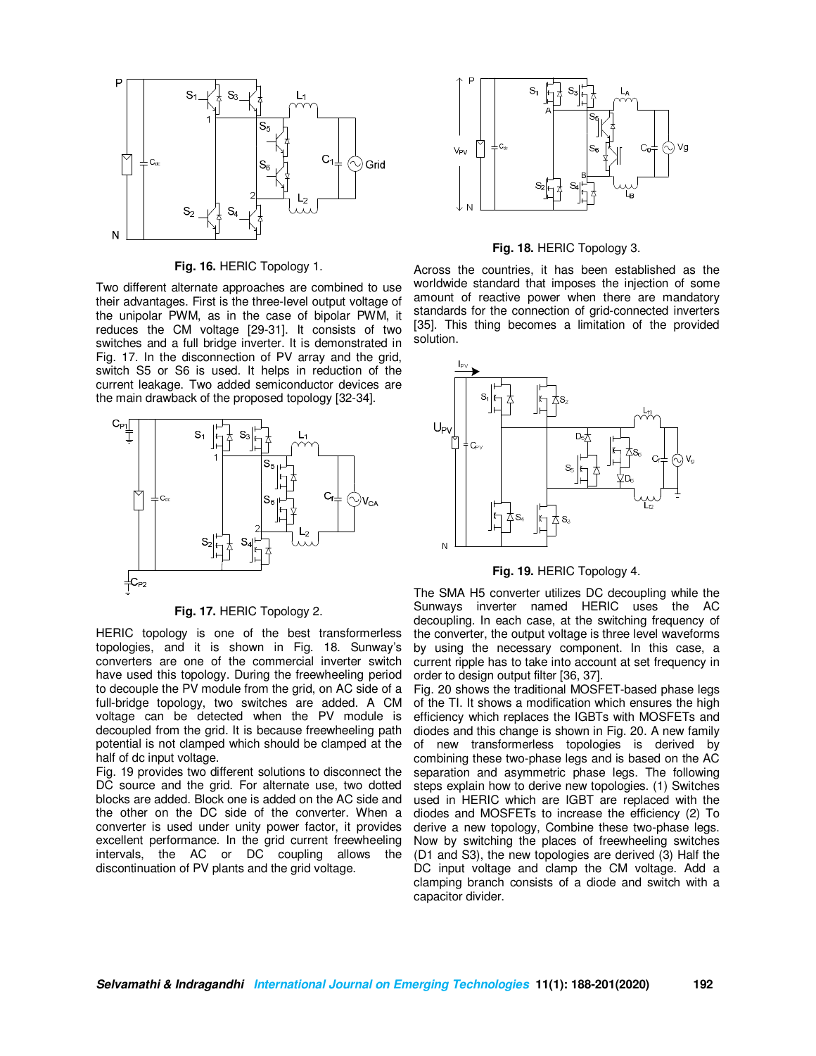

**Fig. 16.** HERIC Topology 1.

Two different alternate approaches are combined to use their advantages. First is the three-level output voltage of the unipolar PWM, as in the case of bipolar PWM, it reduces the CM voltage [29-31]. It consists of two switches and a full bridge inverter. It is demonstrated in Fig. 17. In the disconnection of PV array and the grid, switch S5 or S6 is used. It helps in reduction of the current leakage. Two added semiconductor devices are the main drawback of the proposed topology [32-34].



**Fig. 17.** HERIC Topology 2.

HERIC topology is one of the best transformerless topologies, and it is shown in Fig. 18. Sunway's converters are one of the commercial inverter switch have used this topology. During the freewheeling period to decouple the PV module from the grid, on AC side of a full-bridge topology, two switches are added. A CM voltage can be detected when the PV module is decoupled from the grid. It is because freewheeling path potential is not clamped which should be clamped at the half of dc input voltage.

Fig. 19 provides two different solutions to disconnect the DC source and the grid. For alternate use, two dotted blocks are added. Block one is added on the AC side and the other on the DC side of the converter. When a converter is used under unity power factor, it provides excellent performance. In the grid current freewheeling intervals, the AC or DC coupling allows the discontinuation of PV plants and the grid voltage.



**Fig. 18.** HERIC Topology 3.

Across the countries, it has been established as the worldwide standard that imposes the injection of some amount of reactive power when there are mandatory standards for the connection of grid-connected inverters [35]. This thing becomes a limitation of the provided solution.



**Fig. 19.** HERIC Topology 4.

The SMA H5 converter utilizes DC decoupling while the Sunways inverter named HERIC uses the AC decoupling. In each case, at the switching frequency of the converter, the output voltage is three level waveforms by using the necessary component. In this case, a current ripple has to take into account at set frequency in order to design output filter [36, 37].

Fig. 20 shows the traditional MOSFET-based phase legs of the TI. It shows a modification which ensures the high efficiency which replaces the IGBTs with MOSFETs and diodes and this change is shown in Fig. 20. A new family of new transformerless topologies is derived by combining these two-phase legs and is based on the AC separation and asymmetric phase legs. The following steps explain how to derive new topologies. (1) Switches used in HERIC which are IGBT are replaced with the diodes and MOSFETs to increase the efficiency (2) To derive a new topology, Combine these two-phase legs. Now by switching the places of freewheeling switches (D1 and S3), the new topologies are derived (3) Half the DC input voltage and clamp the CM voltage. Add a clamping branch consists of a diode and switch with a capacitor divider.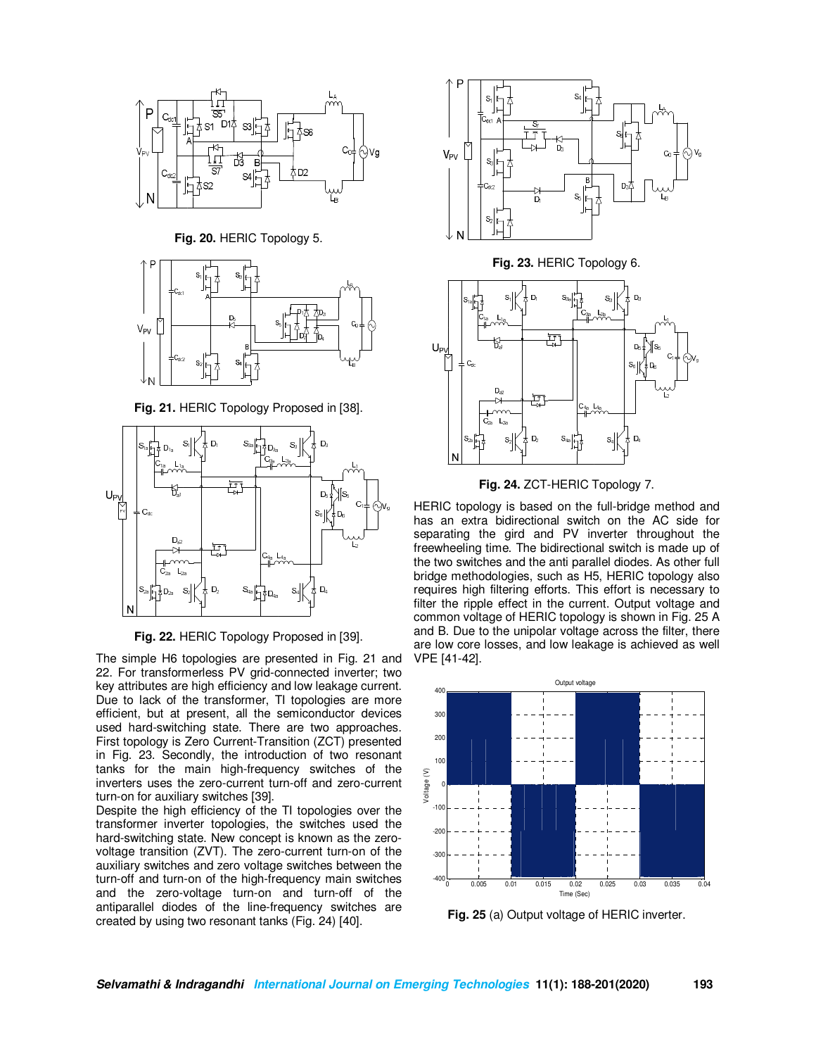

**Fig. 20.** HERIC Topology 5.



**Fig. 21.** HERIC Topology Proposed in [38].



**Fig. 22.** HERIC Topology Proposed in [39].

The simple H6 topologies are presented in Fig. 21 and 22. For transformerless PV grid-connected inverter; two key attributes are high efficiency and low leakage current. Due to lack of the transformer, TI topologies are more efficient, but at present, all the semiconductor devices used hard-switching state. There are two approaches. First topology is Zero Current-Transition (ZCT) presented in Fig. 23. Secondly, the introduction of two resonant tanks for the main high-frequency switches of the inverters uses the zero-current turn-off and zero-current turn-on for auxiliary switches [39].

Despite the high efficiency of the TI topologies over the transformer inverter topologies, the switches used the hard-switching state. New concept is known as the zerovoltage transition (ZVT). The zero-current turn-on of the auxiliary switches and zero voltage switches between the turn-off and turn-on of the high-frequency main switches and the zero-voltage turn-on and turn-off of the antiparallel diodes of the line-frequency switches are created by using two resonant tanks (Fig. 24) [40].





HERIC topology is based on the full-bridge method and has an extra bidirectional switch on the AC side for separating the gird and PV inverter throughout the freewheeling time. The bidirectional switch is made up of the two switches and the anti parallel diodes. As other full bridge methodologies, such as H5, HERIC topology also requires high filtering efforts. This effort is necessary to filter the ripple effect in the current. Output voltage and common voltage of HERIC topology is shown in Fig. 25 A and B. Due to the unipolar voltage across the filter, there are low core losses, and low leakage is achieved as well VPE [41-42].



**Fig. 25** (a) Output voltage of HERIC inverter.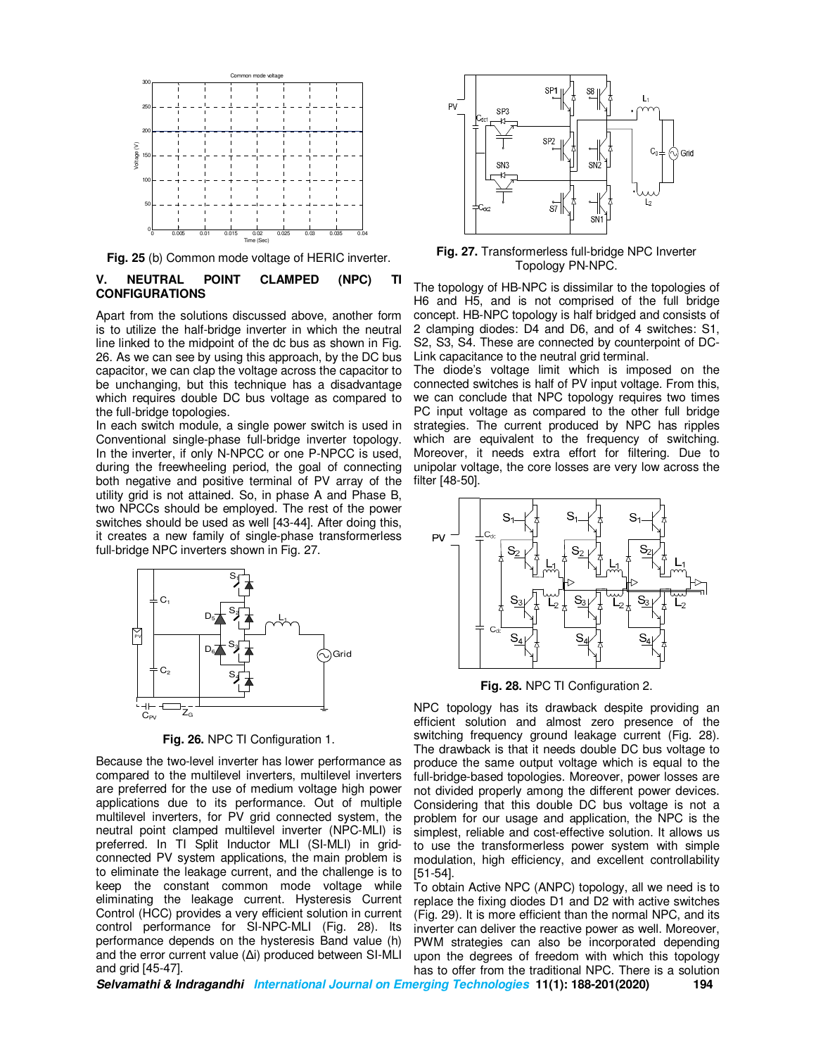

**Fig. 25** (b) Common mode voltage of HERIC inverter.

# **V. NEUTRAL POINT CLAMPED (NPC) TI CONFIGURATIONS**

Apart from the solutions discussed above, another form is to utilize the half-bridge inverter in which the neutral line linked to the midpoint of the dc bus as shown in Fig. 26. As we can see by using this approach, by the DC bus capacitor, we can clap the voltage across the capacitor to be unchanging, but this technique has a disadvantage which requires double DC bus voltage as compared to the full-bridge topologies.

In each switch module, a single power switch is used in Conventional single-phase full-bridge inverter topology. In the inverter, if only N-NPCC or one P-NPCC is used, during the freewheeling period, the goal of connecting both negative and positive terminal of PV array of the utility grid is not attained. So, in phase A and Phase B, two NPCCs should be employed. The rest of the power switches should be used as well [43-44]. After doing this, it creates a new family of single-phase transformerless full-bridge NPC inverters shown in Fig. 27.



**Fig. 26.** NPC TI Configuration 1.

Because the two-level inverter has lower performance as compared to the multilevel inverters, multilevel inverters are preferred for the use of medium voltage high power applications due to its performance. Out of multiple multilevel inverters, for PV grid connected system, the neutral point clamped multilevel inverter (NPC-MLI) is preferred. In TI Split Inductor MLI (SI-MLI) in gridconnected PV system applications, the main problem is to eliminate the leakage current, and the challenge is to keep the constant common mode voltage while eliminating the leakage current. Hysteresis Current Control (HCC) provides a very efficient solution in current control performance for SI-NPC-MLI (Fig. 28). Its performance depends on the hysteresis Band value (h) and the error current value (∆i) produced between SI-MLI and grid [45-47].



**Fig. 27.** Transformerless full-bridge NPC Inverter Topology PN-NPC.

The topology of HB-NPC is dissimilar to the topologies of H6 and H5, and is not comprised of the full bridge concept. HB-NPC topology is half bridged and consists of 2 clamping diodes: D4 and D6, and of 4 switches: S1, S2, S3, S4. These are connected by counterpoint of DC-Link capacitance to the neutral grid terminal.

The diode's voltage limit which is imposed on the connected switches is half of PV input voltage. From this, we can conclude that NPC topology requires two times PC input voltage as compared to the other full bridge strategies. The current produced by NPC has ripples which are equivalent to the frequency of switching. Moreover, it needs extra effort for filtering. Due to unipolar voltage, the core losses are very low across the filter [48-50].



**Fig. 28.** NPC TI Configuration 2.

NPC topology has its drawback despite providing an efficient solution and almost zero presence of the switching frequency ground leakage current (Fig. 28). The drawback is that it needs double DC bus voltage to produce the same output voltage which is equal to the full-bridge-based topologies. Moreover, power losses are not divided properly among the different power devices. Considering that this double DC bus voltage is not a problem for our usage and application, the NPC is the simplest, reliable and cost-effective solution. It allows us to use the transformerless power system with simple modulation, high efficiency, and excellent controllability [51-54].

To obtain Active NPC (ANPC) topology, all we need is to replace the fixing diodes D1 and D2 with active switches (Fig. 29). It is more efficient than the normal NPC, and its inverter can deliver the reactive power as well. Moreover, PWM strategies can also be incorporated depending upon the degrees of freedom with which this topology has to offer from the traditional NPC. There is a solution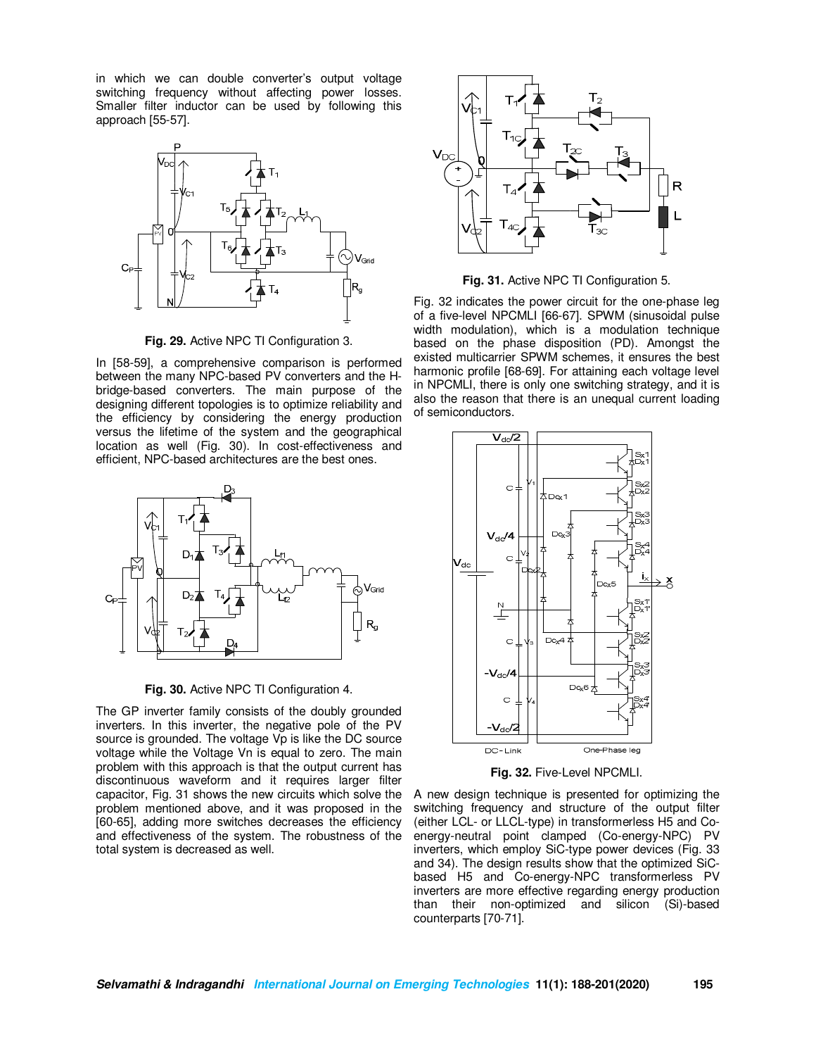in which we can double converter's output voltage switching frequency without affecting power losses. Smaller filter inductor can be used by following this approach [55-57].



**Fig. 29.** Active NPC TI Configuration 3.

In [58-59], a comprehensive comparison is performed between the many NPC-based PV converters and the Hbridge-based converters. The main purpose of the designing different topologies is to optimize reliability and the efficiency by considering the energy production versus the lifetime of the system and the geographical location as well (Fig. 30). In cost-effectiveness and efficient, NPC-based architectures are the best ones.



**Fig. 30.** Active NPC TI Configuration 4.

The GP inverter family consists of the doubly grounded inverters. In this inverter, the negative pole of the PV source is grounded. The voltage Vp is like the DC source voltage while the Voltage Vn is equal to zero. The main problem with this approach is that the output current has discontinuous waveform and it requires larger filter capacitor, Fig. 31 shows the new circuits which solve the problem mentioned above, and it was proposed in the [60-65], adding more switches decreases the efficiency and effectiveness of the system. The robustness of the total system is decreased as well.



**Fig. 31.** Active NPC TI Configuration 5.

Fig. 32 indicates the power circuit for the one-phase leg of a five-level NPCMLI [66-67]. SPWM (sinusoidal pulse width modulation), which is a modulation technique based on the phase disposition (PD). Amongst the existed multicarrier SPWM schemes, it ensures the best harmonic profile [68-69]. For attaining each voltage level in NPCMLI, there is only one switching strategy, and it is also the reason that there is an unequal current loading of semiconductors.



**Fig. 32.** Five-Level NPCMLI.

A new design technique is presented for optimizing the switching frequency and structure of the output filter (either LCL- or LLCL-type) in transformerless H5 and Coenergy-neutral point clamped (Co-energy-NPC) PV inverters, which employ SiC-type power devices (Fig. 33 and 34). The design results show that the optimized SiCbased H5 and Co-energy-NPC transformerless PV inverters are more effective regarding energy production than their non-optimized and silicon (Si)-based counterparts [70-71].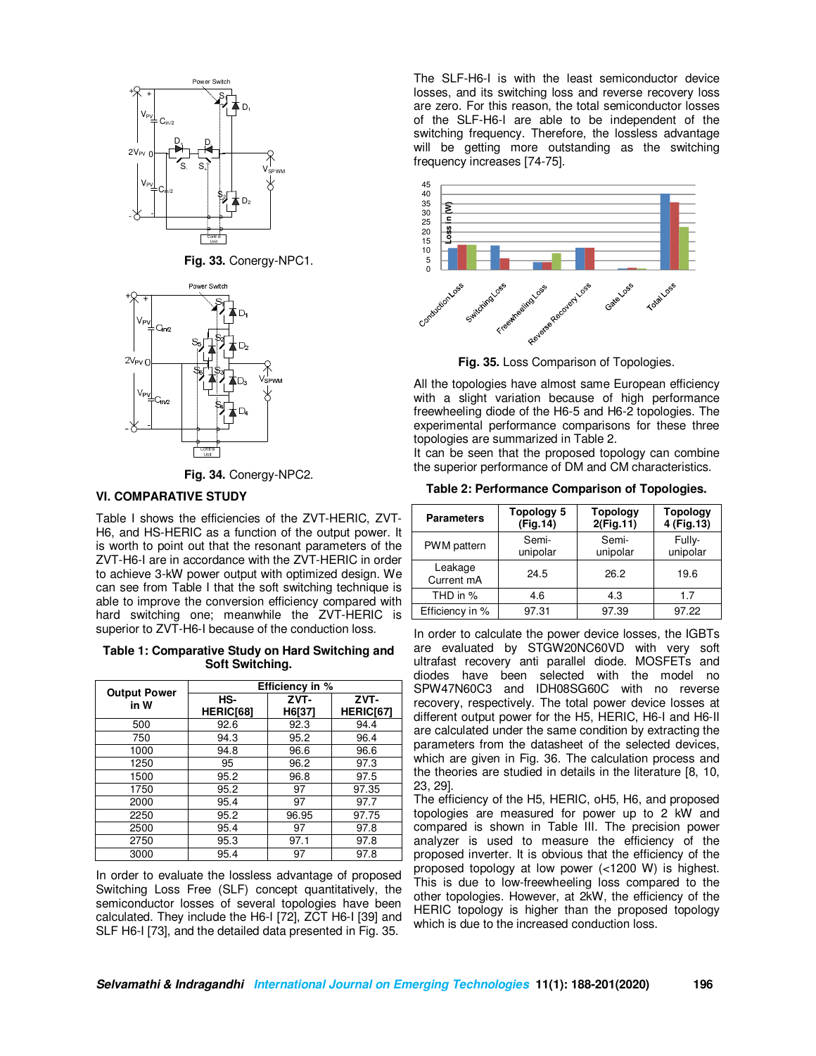

**Fig. 33.** Conergy-NPC1.



**Fig. 34.** Conergy-NPC2.

#### **VI. COMPARATIVE STUDY**

Table I shows the efficiencies of the ZVT-HERIC, ZVT-H6, and HS-HERIC as a function of the output power. It is worth to point out that the resonant parameters of the ZVT-H6-I are in accordance with the ZVT-HERIC in order to achieve 3-kW power output with optimized design. We can see from Table I that the soft switching technique is able to improve the conversion efficiency compared with hard switching one; meanwhile the ZVT-HERIC is superior to ZVT-H6-I because of the conduction loss.

#### **Table 1: Comparative Study on Hard Switching and Soft Switching.**

|                             | Efficiency in %  |                |                   |  |  |
|-----------------------------|------------------|----------------|-------------------|--|--|
| <b>Output Power</b><br>in W | HS-<br>HERIC[68] | ZVT-<br>H6[37] | ZVT-<br>HERIC[67] |  |  |
| 500                         | 92.6             | 92.3           | 94.4              |  |  |
| 750                         | 94.3             | 95.2           | 96.4              |  |  |
| 1000                        | 94.8             | 96.6           | 96.6              |  |  |
| 1250                        | 95               | 96.2           | 97.3              |  |  |
| 1500                        | 95.2             | 96.8           | 97.5              |  |  |
| 1750                        | 95.2             | 97             | 97.35             |  |  |
| 2000                        | 95.4             | 97             | 97.7              |  |  |
| 2250                        | 95.2             | 96.95          | 97.75             |  |  |
| 2500                        | 95.4             | 97             | 97.8              |  |  |
| 2750                        | 95.3             | 97.1           | 97.8              |  |  |
| 3000                        | 95.4             | 97             | 97.8              |  |  |

In order to evaluate the lossless advantage of proposed Switching Loss Free (SLF) concept quantitatively, the semiconductor losses of several topologies have been calculated. They include the H6-I [72], ZCT H6-I [39] and SLF H6-I [73], and the detailed data presented in Fig. 35.

The SLF-H6-I is with the least semiconductor device losses, and its switching loss and reverse recovery loss are zero. For this reason, the total semiconductor losses of the SLF-H6-I are able to be independent of the switching frequency. Therefore, the lossless advantage will be getting more outstanding as the switching frequency increases [74-75].



**Fig. 35.** Loss Comparison of Topologies.

All the topologies have almost same European efficiency with a slight variation because of high performance freewheeling diode of the H6-5 and H6-2 topologies. The experimental performance comparisons for these three topologies are summarized in Table 2.

It can be seen that the proposed topology can combine the superior performance of DM and CM characteristics.

| Table 2: Performance Comparison of Topologies. |  |  |
|------------------------------------------------|--|--|
|------------------------------------------------|--|--|

| <b>Parameters</b>     | Topology 5<br>(Fig.14) | <b>Topology</b><br>2(Fig.11) | Topology<br>4 (Fig. 13) |  |
|-----------------------|------------------------|------------------------------|-------------------------|--|
| PWM pattern           | Semi-<br>unipolar      | Semi-<br>unipolar            | Fully-<br>unipolar      |  |
| Leakage<br>Current mA | 24.5                   | 26.2                         | 19.6                    |  |
| THD in %              | 4.6                    | 4.3                          | 1.7                     |  |
| Efficiency in %       | 97.31                  | 97.39                        | 97.22                   |  |

In order to calculate the power device losses, the IGBTs are evaluated by STGW20NC60VD with very soft ultrafast recovery anti parallel diode. MOSFETs and diodes have been selected with the model no SPW47N60C3 and IDH08SG60C with no reverse recovery, respectively. The total power device losses at different output power for the H5, HERIC, H6-I and H6-II are calculated under the same condition by extracting the parameters from the datasheet of the selected devices, which are given in Fig. 36. The calculation process and the theories are studied in details in the literature [8, 10, 23, 29].

The efficiency of the H5, HERIC, oH5, H6, and proposed topologies are measured for power up to 2 kW and compared is shown in Table III. The precision power analyzer is used to measure the efficiency of the proposed inverter. It is obvious that the efficiency of the proposed topology at low power (<1200 W) is highest. This is due to low-freewheeling loss compared to the other topologies. However, at 2kW, the efficiency of the HERIC topology is higher than the proposed topology which is due to the increased conduction loss.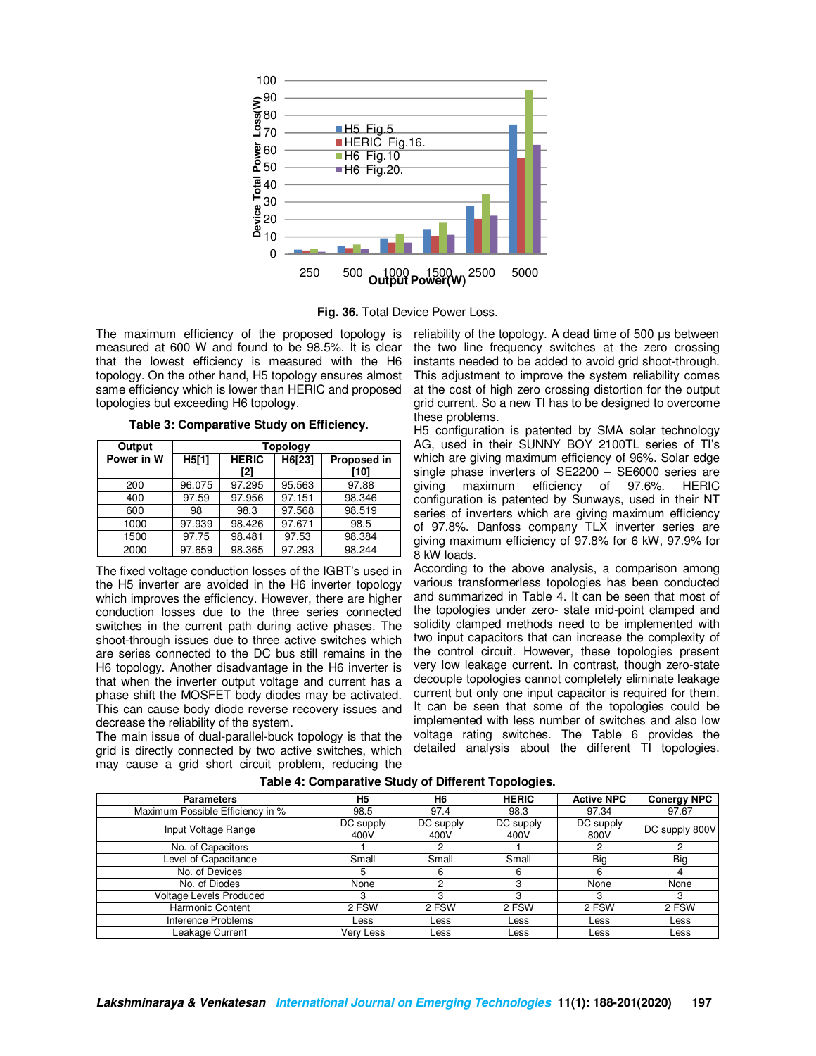

**Fig. 36.** Total Device Power Loss.

measured at 600 W and found to be 98.5%. It is clear that the lowest efficiency is measured with the H6 topology. On the other hand, H5 topology ensures almost same efficiency which is lower than HERIC and proposed topologies but exceeding H6 topology.

**Table 3: Comparative Study on Efficiency.**

| Output     | <b>Topology</b> |              |        |             |
|------------|-----------------|--------------|--------|-------------|
| Power in W | H5[1]           | <b>HERIC</b> | H6[23] | Proposed in |
|            |                 | [2]          |        | [10]        |
| 200        | 96.075          | 97.295       | 95.563 | 97.88       |
| 400        | 97.59           | 97.956       | 97.151 | 98.346      |
| 600        | 98              | 98.3         | 97.568 | 98.519      |
| 1000       | 97.939          | 98.426       | 97.671 | 98.5        |
| 1500       | 97.75           | 98.481       | 97.53  | 98.384      |
| 2000       | 97.659          | 98.365       | 97.293 | 98.244      |

The fixed voltage conduction losses of the IGBT's used in the H5 inverter are avoided in the H6 inverter topology which improves the efficiency. However, there are higher conduction losses due to the three series connected switches in the current path during active phases. The shoot-through issues due to three active switches which are series connected to the DC bus still remains in the H6 topology. Another disadvantage in the H6 inverter is that when the inverter output voltage and current has a phase shift the MOSFET body diodes may be activated. This can cause body diode reverse recovery issues and decrease the reliability of the system.

The main issue of dual-parallel-buck topology is that the grid is directly connected by two active switches, which may cause a grid short circuit problem, reducing the

The maximum efficiency of the proposed topology is reliability of the topology. A dead time of 500 µs between the two line frequency switches at the zero crossing instants needed to be added to avoid grid shoot-through. This adjustment to improve the system reliability comes at the cost of high zero crossing distortion for the output grid current. So a new TI has to be designed to overcome these problems.

> H5 configuration is patented by SMA solar technology AG, used in their SUNNY BOY 2100TL series of TI's which are giving maximum efficiency of 96%. Solar edge single phase inverters of SE2200 – SE6000 series are giving maximum efficiency of 97.6%. HERIC configuration is patented by Sunways, used in their NT series of inverters which are giving maximum efficiency of 97.8%. Danfoss company TLX inverter series are giving maximum efficiency of 97.8% for 6 kW, 97.9% for 8 kW loads.

> According to the above analysis, a comparison among various transformerless topologies has been conducted and summarized in Table 4. It can be seen that most of the topologies under zero- state mid-point clamped and solidity clamped methods need to be implemented with two input capacitors that can increase the complexity of the control circuit. However, these topologies present very low leakage current. In contrast, though zero-state decouple topologies cannot completely eliminate leakage current but only one input capacitor is required for them. It can be seen that some of the topologies could be implemented with less number of switches and also low voltage rating switches. The Table 6 provides the detailed analysis about the different TI topologies.

| <b>Parameters</b>                | H5                | H6                | <b>HERIC</b>      | <b>Active NPC</b> | <b>Conergy NPC</b> |
|----------------------------------|-------------------|-------------------|-------------------|-------------------|--------------------|
| Maximum Possible Efficiency in % | 98.5              | 97.4              | 98.3              | 97.34             | 97.67              |
| Input Voltage Range              | DC supply<br>400V | DC supply<br>400V | DC supply<br>400V | DC supply<br>800V | DC supply 800V     |
| No. of Capacitors                |                   |                   |                   |                   |                    |
| Level of Capacitance             | Small             | Small             | Small             | Big               | Big                |
| No. of Devices                   | 5                 |                   | 6                 | 6                 | 4                  |
| No. of Diodes                    | None              |                   | з                 | None              | None               |
| Voltage Levels Produced          | 3                 |                   | з                 | з                 | 3                  |
| Harmonic Content                 | 2 FSW             | 2 FSW             | 2 FSW             | 2 FSW             | 2 FSW              |
| Inference Problems               | Less              | Less              | Less              | Less              | Less               |
| Leakage Current                  | Very Less         | Less              | Less              | Less              | Less               |

**Table 4: Comparative Study of Different Topologies.**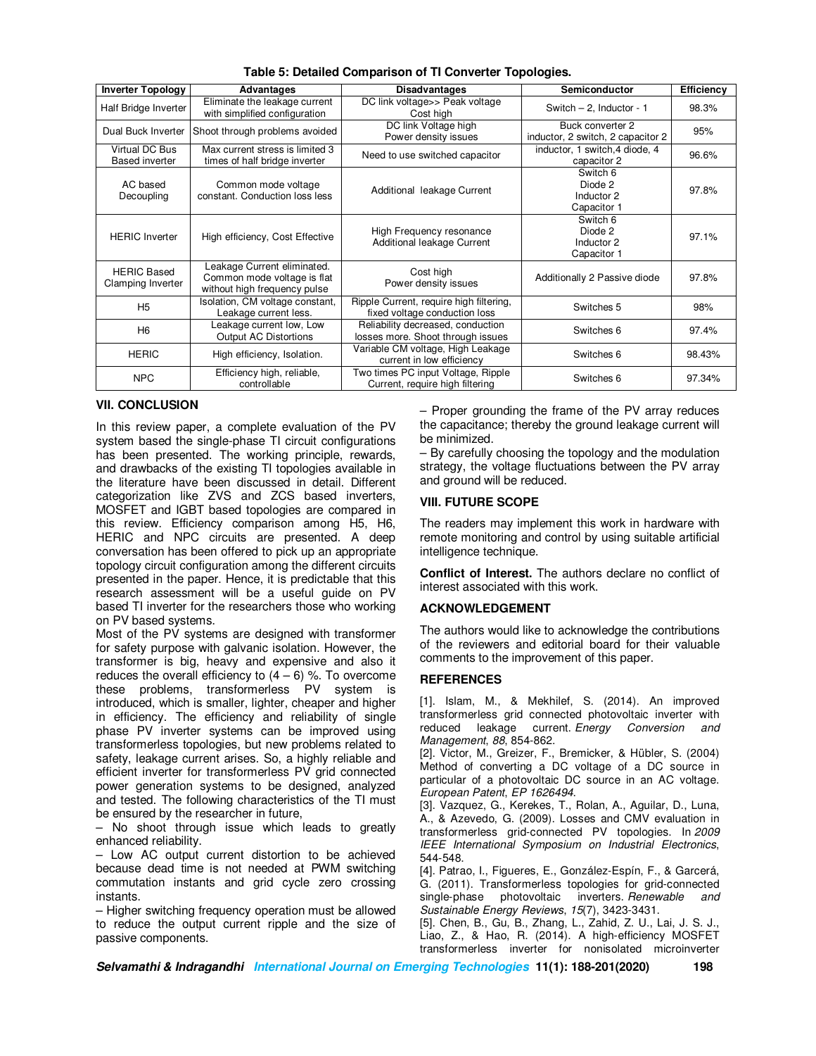| <b>Inverter Topology</b>                | Advantages                                                                                 | <b>Disadvantages</b>                                                     | Semiconductor                                         | Efficiency |
|-----------------------------------------|--------------------------------------------------------------------------------------------|--------------------------------------------------------------------------|-------------------------------------------------------|------------|
| Half Bridge Inverter                    | Eliminate the leakage current<br>with simplified configuration                             | DC link voltage>> Peak voltage<br>Cost high                              | Switch $-2$ , Inductor - 1                            | 98.3%      |
| Dual Buck Inverter                      | Shoot through problems avoided                                                             | DC link Voltage high<br>Power density issues                             | Buck converter 2<br>inductor, 2 switch, 2 capacitor 2 | 95%        |
| Virtual DC Bus<br><b>Based inverter</b> | Max current stress is limited 3<br>times of half bridge inverter                           | Need to use switched capacitor                                           | inductor, 1 switch, 4 diode, 4<br>capacitor 2         | 96.6%      |
| AC based<br>Decoupling                  | Common mode voltage<br>constant. Conduction loss less                                      | Additional leakage Current                                               | Switch 6<br>Diode 2<br>Inductor 2<br>Capacitor 1      | 97.8%      |
| <b>HERIC Inverter</b>                   | High efficiency, Cost Effective                                                            | High Frequency resonance<br>Additional leakage Current                   | Switch 6<br>Diode 2<br>Inductor 2<br>Capacitor 1      | 97.1%      |
| <b>HERIC Based</b><br>Clamping Inverter | Leakage Current eliminated.<br>Common mode voltage is flat<br>without high frequency pulse | Cost high<br>Power density issues                                        | Additionally 2 Passive diode                          | 97.8%      |
| H <sub>5</sub>                          | Isolation, CM voltage constant,<br>Leakage current less.                                   | Ripple Current, require high filtering,<br>fixed voltage conduction loss | Switches 5                                            | 98%        |
| H <sub>6</sub>                          | Leakage current low, Low<br><b>Output AC Distortions</b>                                   | Reliability decreased, conduction<br>losses more. Shoot through issues   | Switches 6                                            | 97.4%      |
| <b>HERIC</b>                            | High efficiency, Isolation.                                                                | Variable CM voltage, High Leakage<br>current in low efficiency           | Switches 6                                            | 98.43%     |
| <b>NPC</b>                              | Efficiency high, reliable,<br>controllable                                                 | Two times PC input Voltage, Ripple<br>Current, require high filtering    | Switches 6                                            | 97.34%     |

**Table 5: Detailed Comparison of TI Converter Topologies.** 

# **VII. CONCLUSION**

In this review paper, a complete evaluation of the PV system based the single-phase TI circuit configurations has been presented. The working principle, rewards, and drawbacks of the existing TI topologies available in the literature have been discussed in detail. Different categorization like ZVS and ZCS based inverters, MOSFET and IGBT based topologies are compared in this review. Efficiency comparison among H5, H6, HERIC and NPC circuits are presented. A deep conversation has been offered to pick up an appropriate topology circuit configuration among the different circuits presented in the paper. Hence, it is predictable that this research assessment will be a useful guide on PV based TI inverter for the researchers those who working on PV based systems.

Most of the PV systems are designed with transformer for safety purpose with galvanic isolation. However, the transformer is big, heavy and expensive and also it reduces the overall efficiency to  $(4 - 6)$  %. To overcome these problems, transformerless PV system is introduced, which is smaller, lighter, cheaper and higher in efficiency. The efficiency and reliability of single phase PV inverter systems can be improved using transformerless topologies, but new problems related to safety, leakage current arises. So, a highly reliable and efficient inverter for transformerless PV grid connected power generation systems to be designed, analyzed and tested. The following characteristics of the TI must be ensured by the researcher in future,

– No shoot through issue which leads to greatly enhanced reliability.

– Low AC output current distortion to be achieved because dead time is not needed at PWM switching commutation instants and grid cycle zero crossing instants.

– Higher switching frequency operation must be allowed to reduce the output current ripple and the size of passive components.

– Proper grounding the frame of the PV array reduces the capacitance; thereby the ground leakage current will be minimized.

– By carefully choosing the topology and the modulation strategy, the voltage fluctuations between the PV array and ground will be reduced.

## **VIII. FUTURE SCOPE**

The readers may implement this work in hardware with remote monitoring and control by using suitable artificial intelligence technique.

**Conflict of Interest.** The authors declare no conflict of interest associated with this work.

# **ACKNOWLEDGEMENT**

The authors would like to acknowledge the contributions of the reviewers and editorial board for their valuable comments to the improvement of this paper.

#### **REFERENCES**

[1]. Islam, M., & Mekhilef, S. (2014). An improved transformerless grid connected photovoltaic inverter with reduced leakage current. *Energy Conversion and Management*, *88*, 854-862.

[2]. Victor, M., Greizer, F., Bremicker, & Hübler, S. (2004) Method of converting a DC voltage of a DC source in particular of a photovoltaic DC source in an AC voltage. *European Patent*, *EP 1626494*.

[3]. Vazquez, G., Kerekes, T., Rolan, A., Aguilar, D., Luna, A., & Azevedo, G. (2009). Losses and CMV evaluation in transformerless grid-connected PV topologies. In *2009 IEEE International Symposium on Industrial Electronics*, 544-548.

[4]. Patrao, I., Figueres, E., González-Espín, F., & Garcerá, G. (2011). Transformerless topologies for grid-connected single-phase photovoltaic inverters. *Renewable and Sustainable Energy Reviews*, *15*(7), 3423-3431.

[5]. Chen, B., Gu, B., Zhang, L., Zahid, Z. U., Lai, J. S. J., Liao, Z., & Hao, R. (2014). A high-efficiency MOSFET transformerless inverter for nonisolated microinverter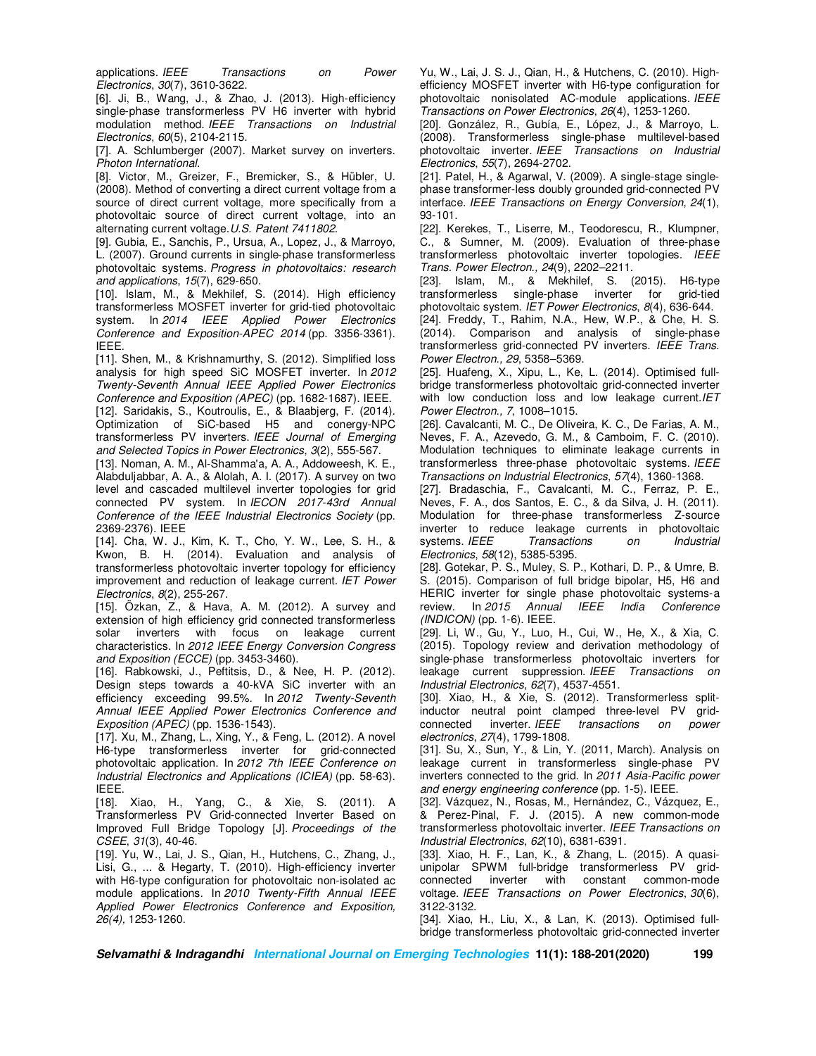applications. *IEEE Transactions on Power Electronics*, *30*(7), 3610-3622.

[6]. Ji, B., Wang, J., & Zhao, J. (2013). High-efficiency single-phase transformerless PV H6 inverter with hybrid modulation method. *IEEE Transactions on Industrial Electronics*, *60*(5), 2104-2115.

[7]. A. Schlumberger (2007). Market survey on inverters. *Photon International*.

[8]. Victor, M., Greizer, F., Bremicker, S., & Hübler, U. (2008). Method of converting a direct current voltage from a source of direct current voltage, more specifically from a photovoltaic source of direct current voltage, into an alternating current voltage.*U.S. Patent 7411802*.

[9]. Gubia, E., Sanchis, P., Ursua, A., Lopez, J., & Marroyo, L. (2007). Ground currents in single‐phase transformerless photovoltaic systems. *Progress in photovoltaics: research and applications*, *15*(7), 629-650.

[10]. Islam, M., & Mekhilef, S. (2014). High efficiency transformerless MOSFET inverter for grid-tied photovoltaic system. In *2014 IEEE Applied Power Electronics Conference and Exposition-APEC 2014* (pp. 3356-3361). IEEE.

[11]. Shen, M., & Krishnamurthy, S. (2012). Simplified loss analysis for high speed SiC MOSFET inverter. In *2012 Twenty-Seventh Annual IEEE Applied Power Electronics Conference and Exposition (APEC)* (pp. 1682-1687). IEEE. [12]. Saridakis, S., Koutroulis, E., & Blaabjerg, F. (2014). Optimization of SiC-based H5 and conergy-NPC transformerless PV inverters. *IEEE Journal of Emerging and Selected Topics in Power Electronics*, *3*(2), 555-567.

[13]. Noman, A. M., Al-Shamma'a, A. A., Addoweesh, K. E., Alabduljabbar, A. A., & Alolah, A. I. (2017). A survey on two level and cascaded multilevel inverter topologies for grid connected PV system. In *IECON 2017-43rd Annual Conference of the IEEE Industrial Electronics Society* (pp. 2369-2376). IEEE

[14]. Cha, W. J., Kim, K. T., Cho, Y. W., Lee, S. H., & Kwon, B. H. (2014). Evaluation and analysis of transformerless photovoltaic inverter topology for efficiency improvement and reduction of leakage current. *IET Power Electronics*, *8*(2), 255-267.

[15]. Özkan, Z., & Hava, A. M. (2012). A survey and extension of high efficiency grid connected transformerless solar inverters with focus on leakage current characteristics. In *2012 IEEE Energy Conversion Congress and Exposition (ECCE)* (pp. 3453-3460).

[16]. Rabkowski, J., Peftitsis, D., & Nee, H. P. (2012). Design steps towards a 40-kVA SiC inverter with an efficiency exceeding 99.5%. In *2012 Twenty-Seventh Annual IEEE Applied Power Electronics Conference and Exposition (APEC)* (pp. 1536-1543).

[17]. Xu, M., Zhang, L., Xing, Y., & Feng, L. (2012). A novel H6-type transformerless inverter for grid-connected photovoltaic application. In *2012 7th IEEE Conference on Industrial Electronics and Applications (ICIEA)* (pp. 58-63). IEEE.

[18]. Xiao, H., Yang, C., & Xie, S. (2011). A Transformerless PV Grid-connected Inverter Based on Improved Full Bridge Topology [J]. *Proceedings of the CSEE*, *31*(3), 40-46.

[19]. Yu, W., Lai, J. S., Qian, H., Hutchens, C., Zhang, J., Lisi, G., ... & Hegarty, T. (2010). High-efficiency inverter with H6-type configuration for photovoltaic non-isolated ac module applications. In *2010 Twenty-Fifth Annual IEEE Applied Power Electronics Conference and Exposition, 26(4),* 1253-1260.

Yu, W., Lai, J. S. J., Qian, H., & Hutchens, C. (2010). Highefficiency MOSFET inverter with H6-type configuration for photovoltaic nonisolated AC-module applications. *IEEE Transactions on Power Electronics*, *26*(4), 1253-1260.

[20]. González, R., Gubía, E., López, J., & Marroyo, L. (2008). Transformerless single-phase multilevel-based photovoltaic inverter. *IEEE Transactions on Industrial Electronics*, *55*(7), 2694-2702.

[21]. Patel, H., & Agarwal, V. (2009). A single-stage singlephase transformer-less doubly grounded grid-connected PV interface. *IEEE Transactions on Energy Conversion*, *24*(1), 93-101.

[22]. Kerekes, T., Liserre, M., Teodorescu, R., Klumpner, C., & Sumner, M. (2009). Evaluation of three-phase transformerless photovoltaic inverter topologies. *IEEE Trans. Power Electron., 24*(9), 2202–2211.

[23]. Islam, M., & Mekhilef, S. (2015). H6-type transformerless single-phase inverter for grid-tied photovoltaic system. *IET Power Electronics*, *8*(4), 636-644.

[24]. Freddy, T., Rahim, N.A., Hew, W.P., & Che, H. S. (2014). Comparison and analysis of single-phase transformerless grid-connected PV inverters. *IEEE Trans. Power Electron., 29*, 5358–5369.

[25]. Huafeng, X., Xipu, L., Ke, L. (2014). Optimised fullbridge transformerless photovoltaic grid-connected inverter with low conduction loss and low leakage current.*IET Power Electron., 7*, 1008–1015.

[26]. Cavalcanti, M. C., De Oliveira, K. C., De Farias, A. M., Neves, F. A., Azevedo, G. M., & Camboim, F. C. (2010). Modulation techniques to eliminate leakage currents in transformerless three-phase photovoltaic systems. *IEEE Transactions on Industrial Electronics*, *57*(4), 1360-1368.

[27]. Bradaschia, F., Cavalcanti, M. C., Ferraz, P. E., Neves, F. A., dos Santos, E. C., & da Silva, J. H. (2011). Modulation for three-phase transformerless Z-source inverter to reduce leakage currents in photovoltaic systems. *IEEE Transactions on Industrial Electronics*, *58*(12), 5385-5395.

[28]. Gotekar, P. S., Muley, S. P., Kothari, D. P., & Umre, B. S. (2015). Comparison of full bridge bipolar, H5, H6 and HERIC inverter for single phase photovoltaic systems-a review. In *2015 Annual IEEE India Conference (INDICON)* (pp. 1-6). IEEE.

[29]. Li, W., Gu, Y., Luo, H., Cui, W., He, X., & Xia, C. (2015). Topology review and derivation methodology of single-phase transformerless photovoltaic inverters for leakage current suppression. *IEEE Transactions on Industrial Electronics*, *62*(7), 4537-4551.

[30]. Xiao, H., & Xie, S. (2012). Transformerless splitinductor neutral point clamped three-level PV gridconnected inverter. *IEEE transactions on power electronics*, *27*(4), 1799-1808.

[31]. Su, X., Sun, Y., & Lin, Y. (2011, March). Analysis on leakage current in transformerless single-phase PV inverters connected to the grid. In *2011 Asia-Pacific power and energy engineering conference* (pp. 1-5). IEEE.

[32]. Vázquez, N., Rosas, M., Hernández, C., Vázquez, E., & Perez-Pinal, F. J. (2015). A new common-mode transformerless photovoltaic inverter. *IEEE Transactions on Industrial Electronics*, *62*(10), 6381-6391.

[33]. Xiao, H. F., Lan, K., & Zhang, L. (2015). A quasiunipolar SPWM full-bridge transformerless PV gridconnected inverter with constant common-mode voltage. *IEEE Transactions on Power Electronics*, *30*(6), 3122-3132.

[34]. Xiao, H., Liu, X., & Lan, K. (2013). Optimised fullbridge transformerless photovoltaic grid-connected inverter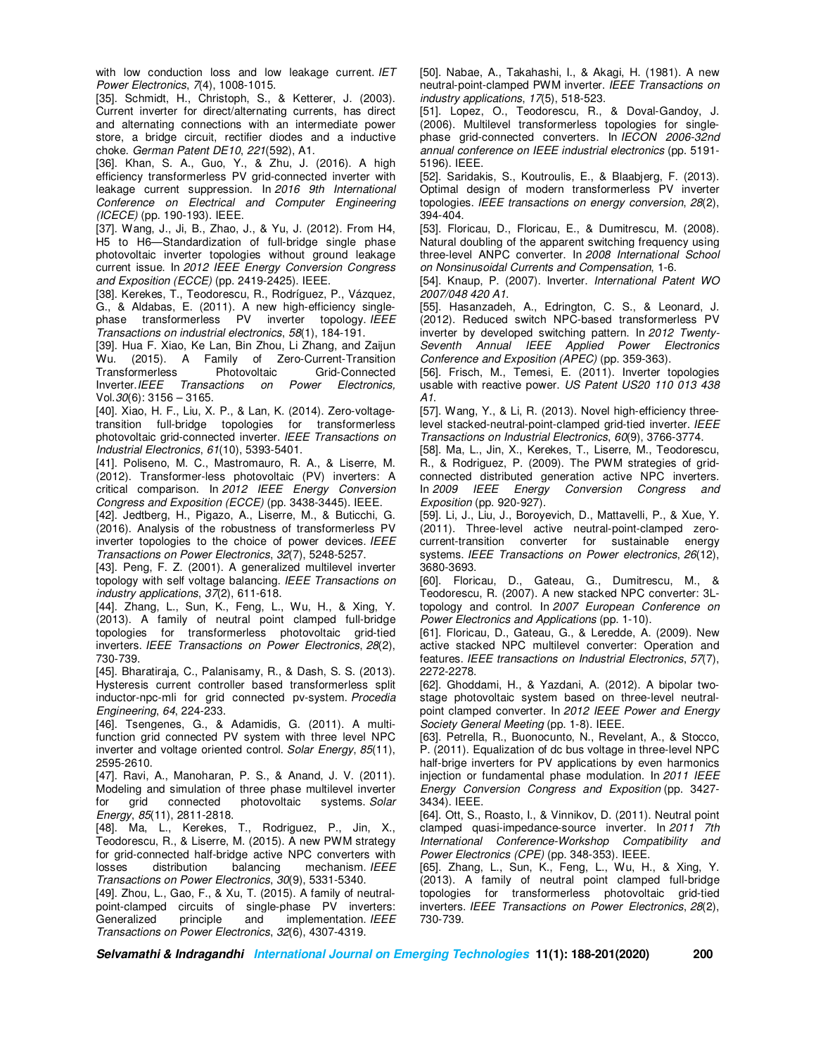with low conduction loss and low leakage current. *IET Power Electronics*, *7*(4), 1008-1015.

[35]. Schmidt, H., Christoph, S., & Ketterer, J. (2003). Current inverter for direct/alternating currents, has direct and alternating connections with an intermediate power store, a bridge circuit, rectifier diodes and a inductive choke. *German Patent DE10*, *221*(592), A1.

[36]. Khan, S. A., Guo, Y., & Zhu, J. (2016). A high efficiency transformerless PV grid-connected inverter with leakage current suppression. In *2016 9th International Conference on Electrical and Computer Engineering (ICECE)* (pp. 190-193). IEEE.

[37]. Wang, J., Ji, B., Zhao, J., & Yu, J. (2012). From H4, H5 to H6—Standardization of full-bridge single phase photovoltaic inverter topologies without ground leakage current issue. In *2012 IEEE Energy Conversion Congress and Exposition (ECCE)* (pp. 2419-2425). IEEE.

[38]. Kerekes, T., Teodorescu, R., Rodríguez, P., Vázquez, G., & Aldabas, E. (2011). A new high-efficiency singlephase transformerless PV inverter topology. *IEEE Transactions on industrial electronics*, *58*(1), 184-191.

[39]. Hua F. Xiao, Ke Lan, Bin Zhou, Li Zhang, and Zaijun Wu. (2015). A Family of Zero-Current-Transition Transformerless Photovoltaic Grid-Connected Inverter.*IEEE Transactions on Power Electronics,*  Vol.*30*(6): 3156 – 3165.

[40]. Xiao, H. F., Liu, X. P., & Lan, K. (2014). Zero-voltagetransition full-bridge topologies for transformerless photovoltaic grid-connected inverter. *IEEE Transactions on Industrial Electronics*, *61*(10), 5393-5401.

[41]. Poliseno, M. C., Mastromauro, R. A., & Liserre, M. (2012). Transformer-less photovoltaic (PV) inverters: A critical comparison. In *2012 IEEE Energy Conversion Congress and Exposition (ECCE)* (pp. 3438-3445). IEEE.

[42]. Jedtberg, H., Pigazo, A., Liserre, M., & Buticchi, G. (2016). Analysis of the robustness of transformerless PV inverter topologies to the choice of power devices. *IEEE Transactions on Power Electronics*, *32*(7), 5248-5257.

[43]. Peng, F. Z. (2001). A generalized multilevel inverter topology with self voltage balancing. *IEEE Transactions on industry applications*, *37*(2), 611-618.

[44]. Zhang, L., Sun, K., Feng, L., Wu, H., & Xing, Y. (2013). A family of neutral point clamped full-bridge topologies for transformerless photovoltaic grid-tied inverters. *IEEE Transactions on Power Electronics*, *28*(2), 730-739.

[45]. Bharatiraja, C., Palanisamy, R., & Dash, S. S. (2013). Hysteresis current controller based transformerless split inductor-npc-mli for grid connected pv-system. *Procedia Engineering*, *64*, 224-233.

[46]. Tsengenes, G., & Adamidis, G. (2011). A multifunction grid connected PV system with three level NPC inverter and voltage oriented control. *Solar Energy*, *85*(11), 2595-2610.

[47]. Ravi, A., Manoharan, P. S., & Anand, J. V. (2011). Modeling and simulation of three phase multilevel inverter for grid connected photovoltaic systems. *Solar Energy*, *85*(11), 2811-2818.

[48]. Ma, L., Kerekes, T., Rodriguez, P., Jin, X., Teodorescu, R., & Liserre, M. (2015). A new PWM strategy for grid-connected half-bridge active NPC converters with losses distribution balancing mechanism. IEEE losses distribution balancing mechanism. *IEEE Transactions on Power Electronics*, *30*(9), 5331-5340.

[49]. Zhou, L., Gao, F., & Xu, T. (2015). A family of neutralpoint-clamped circuits of single-phase PV inverters: Generalized principle and implementation. *IEEE Transactions on Power Electronics*, *32*(6), 4307-4319.

[50]. Nabae, A., Takahashi, I., & Akagi, H. (1981). A new neutral-point-clamped PWM inverter. *IEEE Transactions on industry applications*, *17*(5), 518-523.

[51]. Lopez, O., Teodorescu, R., & Doval-Gandoy, J. (2006). Multilevel transformerless topologies for singlephase grid-connected converters. In *IECON 2006-32nd annual conference on IEEE industrial electronics* (pp. 5191- 5196). IEEE.

[52]. Saridakis, S., Koutroulis, E., & Blaabjerg, F. (2013). Optimal design of modern transformerless PV inverter topologies. *IEEE transactions on energy conversion*, *28*(2), 394-404.

[53]. Floricau, D., Floricau, E., & Dumitrescu, M. (2008). Natural doubling of the apparent switching frequency using three-level ANPC converter. In *2008 International School on Nonsinusoidal Currents and Compensation*, 1-6.

[54]. Knaup, P. (2007). Inverter. *International Patent WO 2007/048 420 A1*.

[55]. Hasanzadeh, A., Edrington, C. S., & Leonard, J. (2012). Reduced switch NPC-based transformerless PV inverter by developed switching pattern. In *2012 Twenty-Seventh Annual IEEE Applied Power Electronics Conference and Exposition (APEC)* (pp. 359-363).

[56]. Frisch, M., Temesi, E. (2011). Inverter topologies usable with reactive power. *US Patent US20 110 013 438 A1*.

[57]. Wang, Y., & Li, R. (2013). Novel high-efficiency threelevel stacked-neutral-point-clamped grid-tied inverter. *IEEE Transactions on Industrial Electronics*, *60*(9), 3766-3774.

[58]. Ma, L., Jin, X., Kerekes, T., Liserre, M., Teodorescu, R., & Rodriguez, P. (2009). The PWM strategies of gridconnected distributed generation active NPC inverters. In *2009 IEEE Energy Conversion Congress and Exposition* (pp. 920-927).

[59]. Li, J., Liu, J., Boroyevich, D., Mattavelli, P., & Xue, Y. (2011). Three-level active neutral-point-clamped zerocurrent-transition converter for sustainable energy systems. *IEEE Transactions on Power electronics*, *26*(12), 3680-3693.

[60]. Floricau, D., Gateau, G., Dumitrescu, M., & Teodorescu, R. (2007). A new stacked NPC converter: 3Ltopology and control. In *2007 European Conference on Power Electronics and Applications* (pp. 1-10).

[61]. Floricau, D., Gateau, G., & Leredde, A. (2009). New active stacked NPC multilevel converter: Operation and features. *IEEE transactions on Industrial Electronics*, *57*(7), 2272-2278.

[62]. Ghoddami, H., & Yazdani, A. (2012). A bipolar twostage photovoltaic system based on three-level neutralpoint clamped converter. In *2012 IEEE Power and Energy Society General Meeting* (pp. 1-8). IEEE.

[63]. Petrella, R., Buonocunto, N., Revelant, A., & Stocco, P. (2011). Equalization of dc bus voltage in three-level NPC half-brige inverters for PV applications by even harmonics injection or fundamental phase modulation. In *2011 IEEE Energy Conversion Congress and Exposition* (pp. 3427- 3434). IEEE.

[64]. Ott, S., Roasto, I., & Vinnikov, D. (2011). Neutral point clamped quasi-impedance-source inverter. In *2011 7th International Conference-Workshop Compatibility and Power Electronics (CPE)* (pp. 348-353). IEEE.

[65]. Zhang, L., Sun, K., Feng, L., Wu, H., & Xing, Y. (2013). A family of neutral point clamped full-bridge topologies for transformerless photovoltaic grid-tied inverters. *IEEE Transactions on Power Electronics*, *28*(2), 730-739.